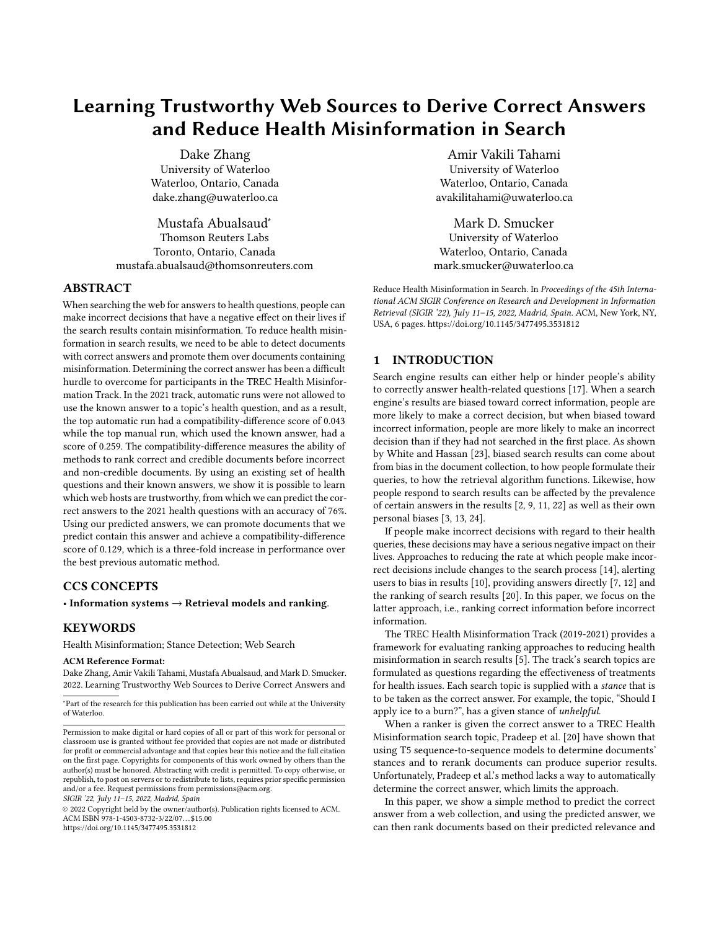# Learning Trustworthy Web Sources to Derive Correct Answers and Reduce Health Misinformation in Search

Dake Zhang University of Waterloo Waterloo, Ontario, Canada dake.zhang@uwaterloo.ca

Mustafa Abualsaud<sup>∗</sup> Thomson Reuters Labs Toronto, Ontario, Canada mustafa.abualsaud@thomsonreuters.com

# ABSTRACT

When searching the web for answers to health questions, people can make incorrect decisions that have a negative effect on their lives if the search results contain misinformation. To reduce health misinformation in search results, we need to be able to detect documents with correct answers and promote them over documents containing misinformation. Determining the correct answer has been a difficult hurdle to overcome for participants in the TREC Health Misinformation Track. In the 2021 track, automatic runs were not allowed to use the known answer to a topic's health question, and as a result, the top automatic run had a compatibility-difference score of 0.043 while the top manual run, which used the known answer, had a score of 0.259. The compatibility-difference measures the ability of methods to rank correct and credible documents before incorrect and non-credible documents. By using an existing set of health questions and their known answers, we show it is possible to learn which web hosts are trustworthy, from which we can predict the correct answers to the 2021 health questions with an accuracy of 76%. Using our predicted answers, we can promote documents that we predict contain this answer and achieve a compatibility-difference score of 0.129, which is a three-fold increase in performance over the best previous automatic method.

# CCS CONCEPTS

• Information systems  $\rightarrow$  Retrieval models and ranking.

# **KEYWORDS**

Health Misinformation; Stance Detection; Web Search

#### ACM Reference Format:

Dake Zhang, Amir Vakili Tahami, Mustafa Abualsaud, and Mark D. Smucker. 2022. Learning Trustworthy Web Sources to Derive Correct Answers and

SIGIR '22, July 11–15, 2022, Madrid, Spain

© 2022 Copyright held by the owner/author(s). Publication rights licensed to ACM. ACM ISBN 978-1-4503-8732-3/22/07. . . \$15.00 <https://doi.org/10.1145/3477495.3531812>

Amir Vakili Tahami University of Waterloo Waterloo, Ontario, Canada avakilitahami@uwaterloo.ca

Mark D. Smucker University of Waterloo Waterloo, Ontario, Canada mark.smucker@uwaterloo.ca

Reduce Health Misinformation in Search. In Proceedings of the 45th International ACM SIGIR Conference on Research and Development in Information Retrieval (SIGIR '22), July 11-15, 2022, Madrid, Spain. ACM, New York, NY, USA, [6](#page-5-0) pages.<https://doi.org/10.1145/3477495.3531812>

### 1 INTRODUCTION

Search engine results can either help or hinder people's ability to correctly answer health-related questions [\[17\]](#page-4-0). When a search engine's results are biased toward correct information, people are more likely to make a correct decision, but when biased toward incorrect information, people are more likely to make an incorrect decision than if they had not searched in the first place. As shown by White and Hassan [\[23\]](#page-5-1), biased search results can come about from bias in the document collection, to how people formulate their queries, to how the retrieval algorithm functions. Likewise, how people respond to search results can be affected by the prevalence of certain answers in the results [\[2,](#page-4-1) [9,](#page-4-2) [11,](#page-4-3) [22\]](#page-5-2) as well as their own personal biases [\[3,](#page-4-4) [13,](#page-4-5) [24\]](#page-5-3).

If people make incorrect decisions with regard to their health queries, these decisions may have a serious negative impact on their lives. Approaches to reducing the rate at which people make incorrect decisions include changes to the search process [\[14\]](#page-4-6), alerting users to bias in results [\[10\]](#page-4-7), providing answers directly [\[7,](#page-4-8) [12\]](#page-4-9) and the ranking of search results [\[20\]](#page-4-10). In this paper, we focus on the latter approach, i.e., ranking correct information before incorrect information.

The TREC Health Misinformation Track (2019-2021) provides a framework for evaluating ranking approaches to reducing health misinformation in search results [\[5\]](#page-4-11). The track's search topics are formulated as questions regarding the effectiveness of treatments for health issues. Each search topic is supplied with a stance that is to be taken as the correct answer. For example, the topic, "Should I apply ice to a burn?", has a given stance of unhelpful.

When a ranker is given the correct answer to a TREC Health Misinformation search topic, Pradeep et al. [\[20\]](#page-4-10) have shown that using T5 sequence-to-sequence models to determine documents' stances and to rerank documents can produce superior results. Unfortunately, Pradeep et al.'s method lacks a way to automatically determine the correct answer, which limits the approach.

In this paper, we show a simple method to predict the correct answer from a web collection, and using the predicted answer, we can then rank documents based on their predicted relevance and

<sup>∗</sup>Part of the research for this publication has been carried out while at the University of Waterloo.

Permission to make digital or hard copies of all or part of this work for personal or classroom use is granted without fee provided that copies are not made or distributed for profit or commercial advantage and that copies bear this notice and the full citation on the first page. Copyrights for components of this work owned by others than the author(s) must be honored. Abstracting with credit is permitted. To copy otherwise, or republish, to post on servers or to redistribute to lists, requires prior specific permission and/or a fee. Request permissions from permissions@acm.org.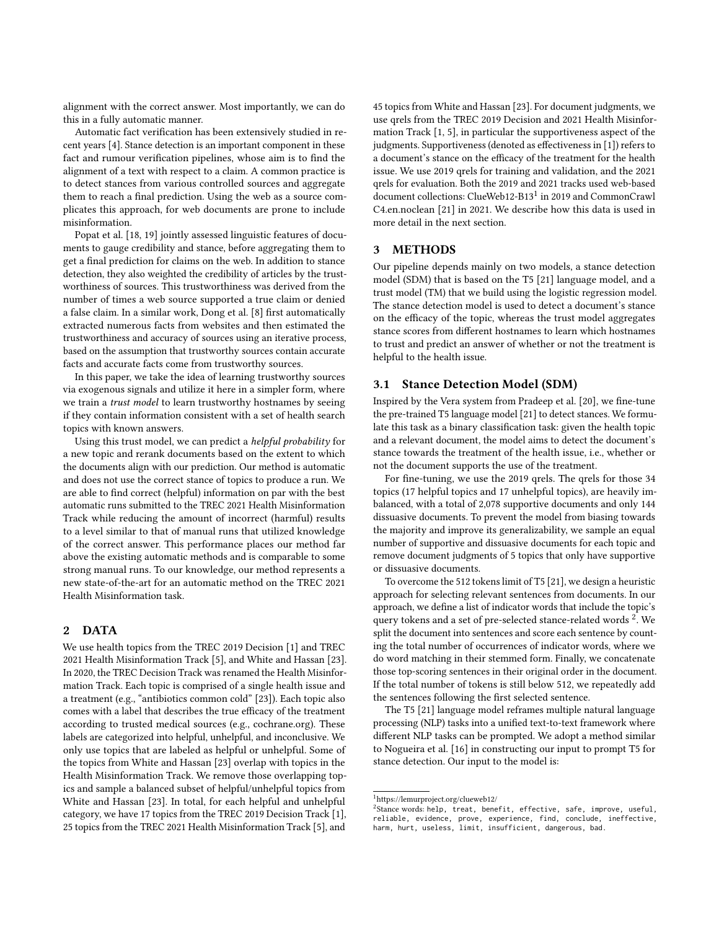alignment with the correct answer. Most importantly, we can do this in a fully automatic manner.

Automatic fact verification has been extensively studied in recent years [\[4\]](#page-4-12). Stance detection is an important component in these fact and rumour verification pipelines, whose aim is to find the alignment of a text with respect to a claim. A common practice is to detect stances from various controlled sources and aggregate them to reach a final prediction. Using the web as a source complicates this approach, for web documents are prone to include misinformation.

Popat et al. [\[18,](#page-4-13) [19\]](#page-4-14) jointly assessed linguistic features of documents to gauge credibility and stance, before aggregating them to get a final prediction for claims on the web. In addition to stance detection, they also weighted the credibility of articles by the trustworthiness of sources. This trustworthiness was derived from the number of times a web source supported a true claim or denied a false claim. In a similar work, Dong et al. [\[8\]](#page-4-15) first automatically extracted numerous facts from websites and then estimated the trustworthiness and accuracy of sources using an iterative process, based on the assumption that trustworthy sources contain accurate facts and accurate facts come from trustworthy sources.

In this paper, we take the idea of learning trustworthy sources via exogenous signals and utilize it here in a simpler form, where we train a trust model to learn trustworthy hostnames by seeing if they contain information consistent with a set of health search topics with known answers.

Using this trust model, we can predict a helpful probability for a new topic and rerank documents based on the extent to which the documents align with our prediction. Our method is automatic and does not use the correct stance of topics to produce a run. We are able to find correct (helpful) information on par with the best automatic runs submitted to the TREC 2021 Health Misinformation Track while reducing the amount of incorrect (harmful) results to a level similar to that of manual runs that utilized knowledge of the correct answer. This performance places our method far above the existing automatic methods and is comparable to some strong manual runs. To our knowledge, our method represents a new state-of-the-art for an automatic method on the TREC 2021 Health Misinformation task.

# 2 DATA

We use health topics from the TREC 2019 Decision [\[1\]](#page-4-16) and TREC 2021 Health Misinformation Track [\[5\]](#page-4-11), and White and Hassan [\[23\]](#page-5-1). In 2020, the TREC Decision Track was renamed the Health Misinformation Track. Each topic is comprised of a single health issue and a treatment (e.g., "antibiotics common cold" [\[23\]](#page-5-1)). Each topic also comes with a label that describes the true efficacy of the treatment according to trusted medical sources (e.g., cochrane.org). These labels are categorized into helpful, unhelpful, and inconclusive. We only use topics that are labeled as helpful or unhelpful. Some of the topics from White and Hassan [\[23\]](#page-5-1) overlap with topics in the Health Misinformation Track. We remove those overlapping topics and sample a balanced subset of helpful/unhelpful topics from White and Hassan [\[23\]](#page-5-1). In total, for each helpful and unhelpful category, we have 17 topics from the TREC 2019 Decision Track [\[1\]](#page-4-16), 25 topics from the TREC 2021 Health Misinformation Track [\[5\]](#page-4-11), and

45 topics from White and Hassan [\[23\]](#page-5-1). For document judgments, we use qrels from the TREC 2019 Decision and 2021 Health Misinformation Track [\[1,](#page-4-16) [5\]](#page-4-11), in particular the supportiveness aspect of the judgments. Supportiveness (denoted as effectiveness in [\[1\]](#page-4-16)) refers to a document's stance on the efficacy of the treatment for the health issue. We use 2019 qrels for training and validation, and the 2021 qrels for evaluation. Both the 2019 and 2021 tracks used web-based document collections: ClueWeb[1](#page-1-0)2-B13<sup>1</sup> in 2019 and CommonCrawl C4.en.noclean [\[21\]](#page-4-17) in 2021. We describe how this data is used in more detail in the next section.

#### 3 METHODS

Our pipeline depends mainly on two models, a stance detection model (SDM) that is based on the T5 [\[21\]](#page-4-17) language model, and a trust model (TM) that we build using the logistic regression model. The stance detection model is used to detect a document's stance on the efficacy of the topic, whereas the trust model aggregates stance scores from different hostnames to learn which hostnames to trust and predict an answer of whether or not the treatment is helpful to the health issue.

#### 3.1 Stance Detection Model (SDM)

Inspired by the Vera system from Pradeep et al. [\[20\]](#page-4-10), we fine-tune the pre-trained T5 language model [\[21\]](#page-4-17) to detect stances. We formulate this task as a binary classification task: given the health topic and a relevant document, the model aims to detect the document's stance towards the treatment of the health issue, i.e., whether or not the document supports the use of the treatment.

For fine-tuning, we use the 2019 qrels. The qrels for those 34 topics (17 helpful topics and 17 unhelpful topics), are heavily imbalanced, with a total of 2,078 supportive documents and only 144 dissuasive documents. To prevent the model from biasing towards the majority and improve its generalizability, we sample an equal number of supportive and dissuasive documents for each topic and remove document judgments of 5 topics that only have supportive or dissuasive documents.

To overcome the 512 tokens limit of T5 [\[21\]](#page-4-17), we design a heuristic approach for selecting relevant sentences from documents. In our approach, we define a list of indicator words that include the topic's query tokens and a set of pre-selected stance-related words<sup>[2](#page-1-1)</sup>. We split the document into sentences and score each sentence by counting the total number of occurrences of indicator words, where we do word matching in their stemmed form. Finally, we concatenate those top-scoring sentences in their original order in the document. If the total number of tokens is still below 512, we repeatedly add the sentences following the first selected sentence.

The T5 [\[21\]](#page-4-17) language model reframes multiple natural language processing (NLP) tasks into a unified text-to-text framework where different NLP tasks can be prompted. We adopt a method similar to Nogueira et al. [\[16\]](#page-4-18) in constructing our input to prompt T5 for stance detection. Our input to the model is:

<span id="page-1-0"></span> $^{\rm 1}$ <https://lemurproject.org/clueweb12/>

<span id="page-1-1"></span><sup>&</sup>lt;sup>2</sup>Stance words: help, treat, benefit, effective, safe, improve, useful, reliable, evidence, prove, experience, find, conclude, ineffective, harm, hurt, useless, limit, insufficient, dangerous, bad.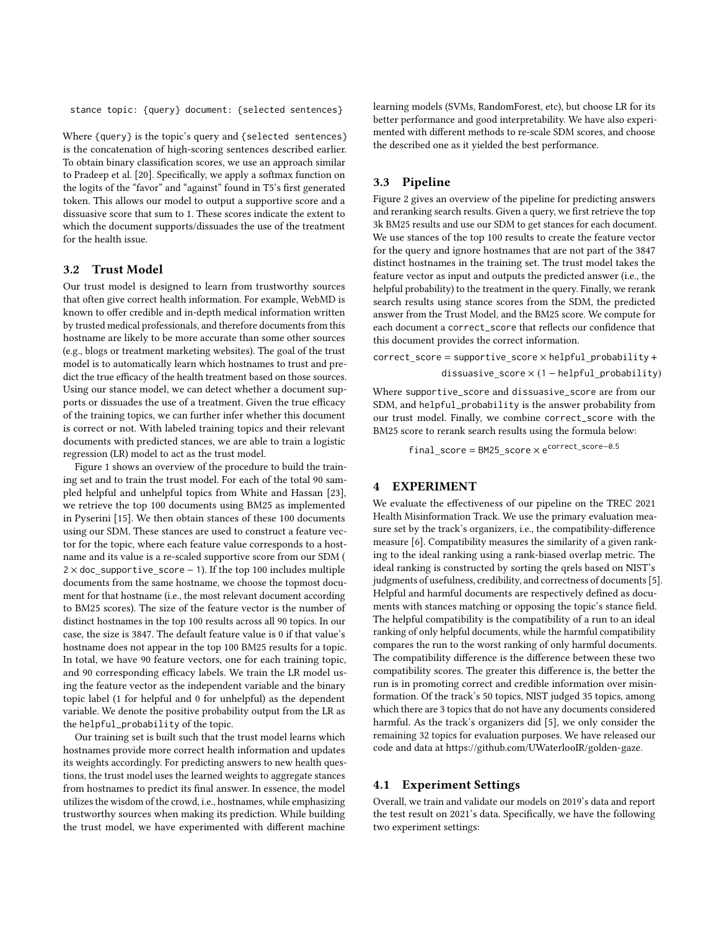stance topic: {query} document: {selected sentences}

Where {query} is the topic's query and {selected sentences} is the concatenation of high-scoring sentences described earlier. To obtain binary classification scores, we use an approach similar to Pradeep et al. [\[20\]](#page-4-10). Specifically, we apply a softmax function on the logits of the "favor" and "against" found in T5's first generated token. This allows our model to output a supportive score and a dissuasive score that sum to 1. These scores indicate the extent to which the document supports/dissuades the use of the treatment for the health issue.

# 3.2 Trust Model

Our trust model is designed to learn from trustworthy sources that often give correct health information. For example, WebMD is known to offer credible and in-depth medical information written by trusted medical professionals, and therefore documents from this hostname are likely to be more accurate than some other sources (e.g., blogs or treatment marketing websites). The goal of the trust model is to automatically learn which hostnames to trust and predict the true efficacy of the health treatment based on those sources. Using our stance model, we can detect whether a document supports or dissuades the use of a treatment. Given the true efficacy of the training topics, we can further infer whether this document is correct or not. With labeled training topics and their relevant documents with predicted stances, we are able to train a logistic regression (LR) model to act as the trust model.

Figure [1](#page-3-0) shows an overview of the procedure to build the training set and to train the trust model. For each of the total 90 sampled helpful and unhelpful topics from White and Hassan [\[23\]](#page-5-1), we retrieve the top 100 documents using BM25 as implemented in Pyserini [\[15\]](#page-4-19). We then obtain stances of these 100 documents using our SDM. These stances are used to construct a feature vector for the topic, where each feature value corresponds to a hostname and its value is a re-scaled supportive score from our SDM (  $2 \times$  doc supportive score − 1). If the top 100 includes multiple documents from the same hostname, we choose the topmost document for that hostname (i.e., the most relevant document according to BM25 scores). The size of the feature vector is the number of distinct hostnames in the top 100 results across all 90 topics. In our case, the size is 3847. The default feature value is 0 if that value's hostname does not appear in the top 100 BM25 results for a topic. In total, we have 90 feature vectors, one for each training topic, and 90 corresponding efficacy labels. We train the LR model using the feature vector as the independent variable and the binary topic label (1 for helpful and 0 for unhelpful) as the dependent variable. We denote the positive probability output from the LR as the helpful\_probability of the topic.

Our training set is built such that the trust model learns which hostnames provide more correct health information and updates its weights accordingly. For predicting answers to new health questions, the trust model uses the learned weights to aggregate stances from hostnames to predict its final answer. In essence, the model utilizes the wisdom of the crowd, i.e., hostnames, while emphasizing trustworthy sources when making its prediction. While building the trust model, we have experimented with different machine

learning models (SVMs, RandomForest, etc), but choose LR for its better performance and good interpretability. We have also experimented with different methods to re-scale SDM scores, and choose the described one as it yielded the best performance.

# 3.3 Pipeline

Figure [2](#page-3-0) gives an overview of the pipeline for predicting answers and reranking search results. Given a query, we first retrieve the top 3k BM25 results and use our SDM to get stances for each document. We use stances of the top 100 results to create the feature vector for the query and ignore hostnames that are not part of the 3847 distinct hostnames in the training set. The trust model takes the feature vector as input and outputs the predicted answer (i.e., the helpful probability) to the treatment in the query. Finally, we rerank search results using stance scores from the SDM, the predicted answer from the Trust Model, and the BM25 score. We compute for each document a correct\_score that reflects our confidence that this document provides the correct information.

correct score = supportive score  $\times$  helpful probability + dissuasive\_score × (1 − helpful\_probability)

Where supportive\_score and dissuasive\_score are from our SDM, and helpful\_probability is the answer probability from our trust model. Finally, we combine correct\_score with the BM25 score to rerank search results using the formula below:

 $final\_score = {\tt BM25\_score} \times e^{\tt correct\_score-0.5}$ 

# 4 EXPERIMENT

We evaluate the effectiveness of our pipeline on the TREC 2021 Health Misinformation Track. We use the primary evaluation measure set by the track's organizers, i.e., the compatibility-difference measure [\[6\]](#page-4-20). Compatibility measures the similarity of a given ranking to the ideal ranking using a rank-biased overlap metric. The ideal ranking is constructed by sorting the qrels based on NIST's judgments of usefulness, credibility, and correctness of documents [\[5\]](#page-4-11). Helpful and harmful documents are respectively defined as documents with stances matching or opposing the topic's stance field. The helpful compatibility is the compatibility of a run to an ideal ranking of only helpful documents, while the harmful compatibility compares the run to the worst ranking of only harmful documents. The compatibility difference is the difference between these two compatibility scores. The greater this difference is, the better the run is in promoting correct and credible information over misinformation. Of the track's 50 topics, NIST judged 35 topics, among which there are 3 topics that do not have any documents considered harmful. As the track's organizers did [\[5\]](#page-4-11), we only consider the remaining 32 topics for evaluation purposes. We have released our code and data at [https://github.com/UWaterlooIR/golden-gaze.](https://github.com/UWaterlooIR/golden-gaze)

# 4.1 Experiment Settings

Overall, we train and validate our models on 2019's data and report the test result on 2021's data. Specifically, we have the following two experiment settings: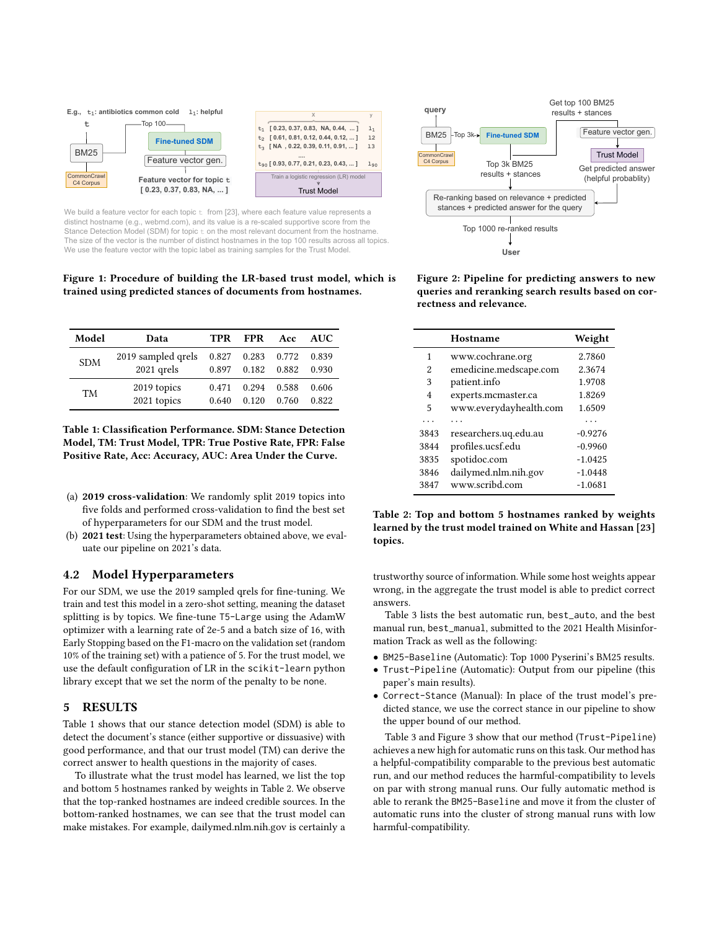<span id="page-3-0"></span>

We build a feature vector for each topic  $t$  from [23], where each feature value represents a distinct hostname (e.g., webmd.com), and its value is a re-scaled supportive score from the Stance Detection Model (SDM) for topic  $t_0$  on the most relevant document from the hostname. The size of the vector is the number of distinct hostnames in the top 100 results across all topics. We use the feature vector with the topic label as training samples for the Trust Model.

Figure 1: Procedure of building the LR-based trust model, which is trained using predicted stances of documents from hostnames.

<span id="page-3-1"></span>

| Model      | Data                             | <b>TPR</b>     | FPR                              | Acc            | AUC            |
|------------|----------------------------------|----------------|----------------------------------|----------------|----------------|
| <b>SDM</b> | 2019 sampled qrels<br>2021 qrels | 0.897          | 0.827 0.283 0.772<br>0.182 0.882 |                | 0.839<br>0.930 |
| <b>TM</b>  | 2019 topics<br>2021 topics       | 0.471<br>0.640 | 0.294<br>0.120                   | 0.588<br>0.760 | 0.606<br>0.822 |

Table 1: Classification Performance. SDM: Stance Detection Model, TM: Trust Model, TPR: True Postive Rate, FPR: False Positive Rate, Acc: Accuracy, AUC: Area Under the Curve.

- (a) 2019 cross-validation: We randomly split 2019 topics into five folds and performed cross-validation to find the best set of hyperparameters for our SDM and the trust model.
- (b) 2021 test: Using the hyperparameters obtained above, we evaluate our pipeline on 2021's data.

# 4.2 Model Hyperparameters

For our SDM, we use the 2019 sampled qrels for fine-tuning. We train and test this model in a zero-shot setting, meaning the dataset splitting is by topics. We fine-tune T5-Large using the AdamW optimizer with a learning rate of 2e-5 and a batch size of 16, with Early Stopping based on the F1-macro on the validation set (random 10% of the training set) with a patience of 5. For the trust model, we use the default configuration of LR in the scikit-learn python library except that we set the norm of the penalty to be none.

#### 5 RESULTS

Table [1](#page-3-1) shows that our stance detection model (SDM) is able to detect the document's stance (either supportive or dissuasive) with good performance, and that our trust model (TM) can derive the correct answer to health questions in the majority of cases.

To illustrate what the trust model has learned, we list the top and bottom 5 hostnames ranked by weights in Table [2.](#page-3-2) We observe that the top-ranked hostnames are indeed credible sources. In the bottom-ranked hostnames, we can see that the trust model can make mistakes. For example, dailymed.nlm.nih.gov is certainly a



Figure 2: Pipeline for predicting answers to new queries and reranking search results based on correctness and relevance.

<span id="page-3-2"></span>

|      | Hostname               | Weight    |
|------|------------------------|-----------|
| 1    | www.cochrane.org       | 2.7860    |
| 2    | emedicine.medscape.com | 2.3674    |
| 3    | patient.info           | 1.9708    |
| 4    | experts.mcmaster.ca    | 1.8269    |
| 5    | www.everydayhealth.com | 1.6509    |
|      |                        |           |
| 3843 | researchers.uq.edu.au  | $-0.9276$ |
| 3844 | profiles.ucsf.edu      | $-0.9960$ |
| 3835 | spotidoc.com           | $-1.0425$ |
| 3846 | dailymed.nlm.nih.gov   | $-1.0448$ |
| 3847 | www.scribd.com         | $-1.0681$ |
|      |                        |           |

Table 2: Top and bottom 5 hostnames ranked by weights learned by the trust model trained on White and Hassan [\[23\]](#page-5-1) topics.

trustworthy source of information. While some host weights appear wrong, in the aggregate the trust model is able to predict correct answers.

Table [3](#page-4-21) lists the best automatic run, best\_auto, and the best manual run, best\_manual, submitted to the 2021 Health Misinformation Track as well as the following:

- BM25-Baseline (Automatic): Top 1000 Pyserini's BM25 results.
- Trust-Pipeline (Automatic): Output from our pipeline (this paper's main results).
- Correct-Stance (Manual): In place of the trust model's predicted stance, we use the correct stance in our pipeline to show the upper bound of our method.

Table [3](#page-4-21) and Figure [3](#page-4-22) show that our method (Trust-Pipeline) achieves a new high for automatic runs on this task. Our method has a helpful-compatibility comparable to the previous best automatic run, and our method reduces the harmful-compatibility to levels on par with strong manual runs. Our fully automatic method is able to rerank the BM25-Baseline and move it from the cluster of automatic runs into the cluster of strong manual runs with low harmful-compatibility.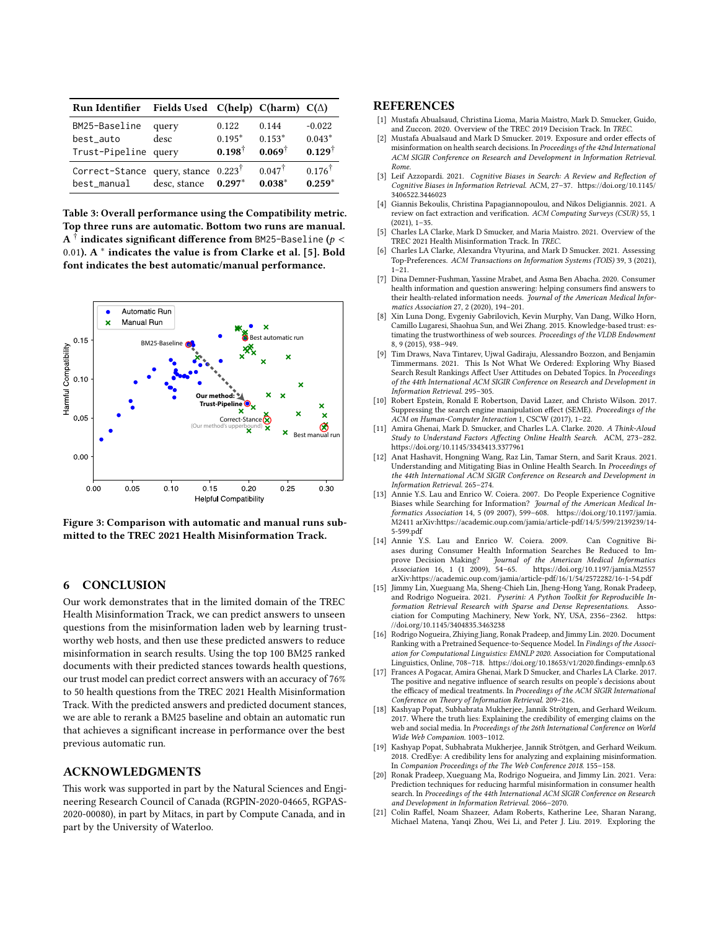<span id="page-4-21"></span>

| Run Identifier                                                | Fields Used $C(help)$ $C(harm)$ $C(\Delta)$ |                                        |                                        |                                           |
|---------------------------------------------------------------|---------------------------------------------|----------------------------------------|----------------------------------------|-------------------------------------------|
| BM25-Baseline<br>best_auto<br>Trust-Pipeline query            | query<br>desc                               | 0.122<br>$0.195*$<br>$0.198^{\dagger}$ | 0.144<br>$0.153*$<br>$0.069^{\dagger}$ | $-0.022$<br>$0.043*$<br>$0.129^{\dagger}$ |
| Correct-Stance query, stance $0.223^{\dagger}$<br>best_manual | desc, stance                                | $0.297*$                               | $0.047^{\dagger}$<br>$0.038*$          | $0.176^{\dagger}$<br>$0.259*$             |

Table 3: Overall performance using the Compatibility metric. Top three runs are automatic. Bottom two runs are manual. A  $^\dagger$  indicates significant difference from BM25-Baseline ( $p <$ 0.01). A  $^*$  indicates the value is from Clarke et al. [\[5\]](#page-4-11). Bold font indicates the best automatic/manual performance.

<span id="page-4-22"></span>

Figure 3: Comparison with automatic and manual runs submitted to the TREC 2021 Health Misinformation Track.

### 6 CONCLUSION

Our work demonstrates that in the limited domain of the TREC Health Misinformation Track, we can predict answers to unseen questions from the misinformation laden web by learning trustworthy web hosts, and then use these predicted answers to reduce misinformation in search results. Using the top 100 BM25 ranked documents with their predicted stances towards health questions, our trust model can predict correct answers with an accuracy of 76% to 50 health questions from the TREC 2021 Health Misinformation Track. With the predicted answers and predicted document stances, we are able to rerank a BM25 baseline and obtain an automatic run that achieves a significant increase in performance over the best previous automatic run.

### ACKNOWLEDGMENTS

This work was supported in part by the Natural Sciences and Engineering Research Council of Canada (RGPIN-2020-04665, RGPAS-2020-00080), in part by Mitacs, in part by Compute Canada, and in part by the University of Waterloo.

#### **REFERENCES**

- <span id="page-4-16"></span>[1] Mustafa Abualsaud, Christina Lioma, Maria Maistro, Mark D. Smucker, Guido, and Zuccon. 2020. Overview of the TREC 2019 Decision Track. In TREC.
- <span id="page-4-1"></span>[2] Mustafa Abualsaud and Mark D Smucker. 2019. Exposure and order effects of misinformation on health search decisions. In Proceedings of the 42nd International ACM SIGIR Conference on Research and Development in Information Retrieval. Rome.
- <span id="page-4-4"></span>[3] Leif Azzopardi. 2021. Cognitive Biases in Search: A Review and Reflection of Cognitive Biases in Information Retrieval. ACM, 27–37. [https://doi.org/10.1145/](https://doi.org/10.1145/3406522.3446023) [3406522.3446023](https://doi.org/10.1145/3406522.3446023)
- <span id="page-4-12"></span>[4] Giannis Bekoulis, Christina Papagiannopoulou, and Nikos Deligiannis. 2021. A review on fact extraction and verification. ACM Computing Surveys (CSUR) 55, 1 (2021), 1–35.
- <span id="page-4-11"></span>[5] Charles LA Clarke, Mark D Smucker, and Maria Maistro. 2021. Overview of the TREC 2021 Health Misinformation Track. In TREC.
- <span id="page-4-20"></span>[6] Charles LA Clarke, Alexandra Vtyurina, and Mark D Smucker. 2021. Assessing Top-Preferences. ACM Transactions on Information Systems (TOIS) 39, 3 (2021), 1–21.
- <span id="page-4-8"></span>[7] Dina Demner-Fushman, Yassine Mrabet, and Asma Ben Abacha. 2020. Consumer health information and question answering: helping consumers find answers to their health-related information needs. Journal of the American Medical Informatics Association 27, 2 (2020), 194–201.
- <span id="page-4-15"></span>[8] Xin Luna Dong, Evgeniy Gabrilovich, Kevin Murphy, Van Dang, Wilko Horn, Camillo Lugaresi, Shaohua Sun, and Wei Zhang. 2015. Knowledge-based trust: estimating the trustworthiness of web sources. Proceedings of the VLDB Endowment 8, 9 (2015), 938–949.
- <span id="page-4-2"></span>[9] Tim Draws, Nava Tintarev, Ujwal Gadiraju, Alessandro Bozzon, and Benjamin Timmermans. 2021. This Is Not What We Ordered: Exploring Why Biased Search Result Rankings Affect User Attitudes on Debated Topics. In Proceedings of the 44th International ACM SIGIR Conference on Research and Development in Information Retrieval. 295–305.
- <span id="page-4-7"></span>[10] Robert Epstein, Ronald E Robertson, David Lazer, and Christo Wilson. 2017. Suppressing the search engine manipulation effect (SEME). Proceedings of the ACM on Human-Computer Interaction 1, CSCW (2017), 1–22.
- <span id="page-4-3"></span>[11] Amira Ghenai, Mark D. Smucker, and Charles L.A. Clarke. 2020. A Think-Aloud Study to Understand Factors Affecting Online Health Search. ACM, 273–282. <https://doi.org/10.1145/3343413.3377961>
- <span id="page-4-9"></span>[12] Anat Hashavit, Hongning Wang, Raz Lin, Tamar Stern, and Sarit Kraus. 2021. Understanding and Mitigating Bias in Online Health Search. In Proceedings of the 44th International ACM SIGIR Conference on Research and Development in Information Retrieval. 265–274.
- <span id="page-4-5"></span>[13] Annie Y.S. Lau and Enrico W. Coiera. 2007. Do People Experience Cognitive Biases while Searching for Information? Journal of the American Medical In-formatics Association 14, 5 (09 2007), 599–608. [https://doi.org/10.1197/jamia.](https://doi.org/10.1197/jamia.M2411) [M2411](https://doi.org/10.1197/jamia.M2411) arXiv[:https://academic.oup.com/jamia/article-pdf/14/5/599/2139239/14-](https://arxiv.org/abs/https://academic.oup.com/jamia/article-pdf/14/5/599/2139239/14-5-599.pdf) [5-599.pdf](https://arxiv.org/abs/https://academic.oup.com/jamia/article-pdf/14/5/599/2139239/14-5-599.pdf)
- <span id="page-4-6"></span>[14] Annie Y.S. Lau and Enrico W. Coiera. 2009. Can Cognitive Biases during Consumer Health Information Searches Be Reduced to Im-<br>prove Decision Making? Journal of the American Medical Informatics prove Decision Making? Journal of the American Medical Informatics<br>Association 16, 1 (1 2009), 54–65. https://doi.org/10.1197/jamia.M2557 https://doi.org/10.1197/jamia.M2557 arXiv[:https://academic.oup.com/jamia/article-pdf/16/1/54/2572282/16-1-54.pdf](https://arxiv.org/abs/https://academic.oup.com/jamia/article-pdf/16/1/54/2572282/16-1-54.pdf)
- <span id="page-4-19"></span>[15] Jimmy Lin, Xueguang Ma, Sheng-Chieh Lin, Jheng-Hong Yang, Ronak Pradeep, and Rodrigo Nogueira. 2021. Pyserini: A Python Toolkit for Reproducible Information Retrieval Research with Sparse and Dense Representations. Association for Computing Machinery, New York, NY, USA, 2356–2362. [https:](https://doi.org/10.1145/3404835.3463238) [//doi.org/10.1145/3404835.3463238](https://doi.org/10.1145/3404835.3463238)
- <span id="page-4-18"></span>[16] Rodrigo Nogueira, Zhiying Jiang, Ronak Pradeep, and Jimmy Lin. 2020. Document Ranking with a Pretrained Sequence-to-Sequence Model. In Findings of the Association for Computational Linguistics: EMNLP 2020. Association for Computational Linguistics, Online, 708–718.<https://doi.org/10.18653/v1/2020.findings-emnlp.63>
- <span id="page-4-0"></span>[17] Frances A Pogacar, Amira Ghenai, Mark D Smucker, and Charles LA Clarke. 2017. The positive and negative influence of search results on people's decisions about the efficacy of medical treatments. In Proceedings of the ACM SIGIR International Conference on Theory of Information Retrieval. 209–216.
- <span id="page-4-13"></span>[18] Kashyap Popat, Subhabrata Mukherjee, Jannik Strötgen, and Gerhard Weikum. 2017. Where the truth lies: Explaining the credibility of emerging claims on the web and social media. In Proceedings of the 26th International Conference on World Wide Web Companion. 1003–1012.
- <span id="page-4-14"></span>[19] Kashyap Popat, Subhabrata Mukherjee, Jannik Strötgen, and Gerhard Weikum. 2018. CredEye: A credibility lens for analyzing and explaining misinformation. In Companion Proceedings of the The Web Conference 2018. 155–158.
- <span id="page-4-10"></span>[20] Ronak Pradeep, Xueguang Ma, Rodrigo Nogueira, and Jimmy Lin. 2021. Vera: Prediction techniques for reducing harmful misinformation in consumer health search. In Proceedings of the 44th International ACM SIGIR Conference on Research and Development in Information Retrieval. 2066–2070.
- <span id="page-4-17"></span>[21] Colin Raffel, Noam Shazeer, Adam Roberts, Katherine Lee, Sharan Narang, Michael Matena, Yanqi Zhou, Wei Li, and Peter J. Liu. 2019. Exploring the